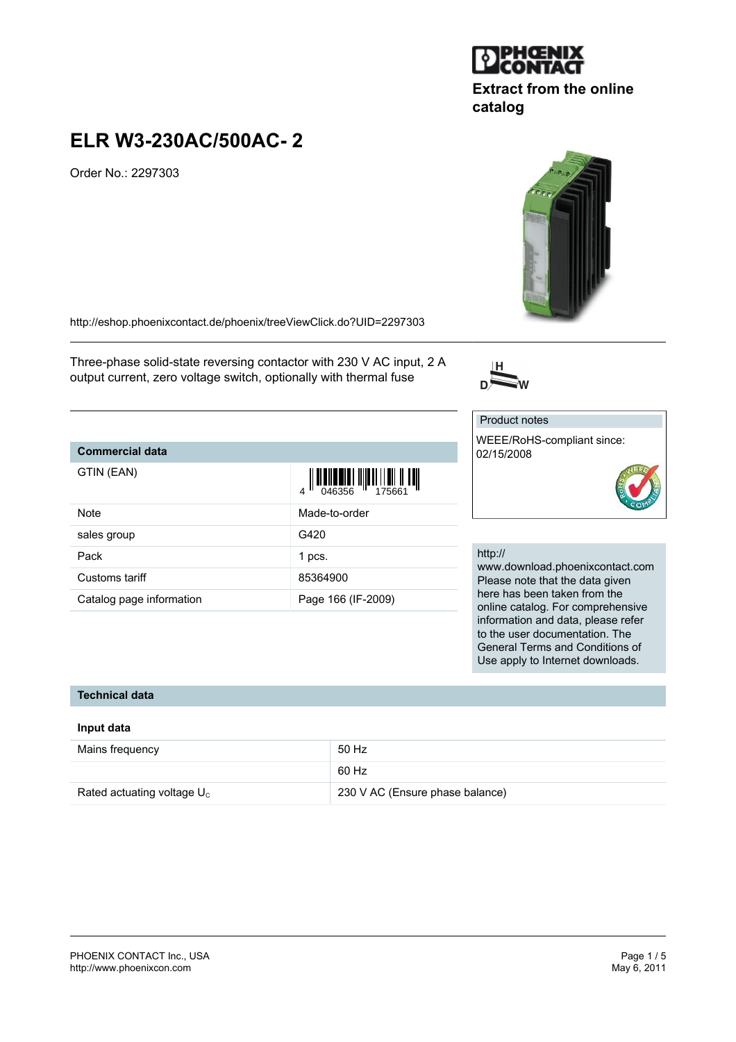#### PHOENIX CONTACT Inc., USA Page 1 / 5 <http://www.phoenixcon.com>

# **ELR W3-230AC/500AC- 2**

Order No.: 2297303

<http://eshop.phoenixcontact.de/phoenix/treeViewClick.do?UID=2297303>

Three-phase solid-state reversing contactor with 230 V AC input, 2 A output current, zero voltage switch, optionally with thermal fuse

## **Commercial data**

| GTIN (EAN)               |                    |
|--------------------------|--------------------|
| Note                     | Made-to-order      |
| sales group              | G420               |
| Pack                     | 1 pcs.             |
| Customs tariff           | 85364900           |
| Catalog page information | Page 166 (IF-2009) |

# http://

Product notes

02/15/2008

www.download.phoenixcontact.com Please note that the data given here has been taken from the online catalog. For comprehensive information and data, please refer to the user documentation. The General Terms and Conditions of Use apply to Internet downloads.

#### **Technical data**

#### **Input data**

| Mains frequency               | 50 Hz                           |
|-------------------------------|---------------------------------|
|                               | 60 Hz                           |
| Rated actuating voltage $U_c$ | 230 V AC (Ensure phase balance) |



**catalog**







WEEE/RoHS-compliant since: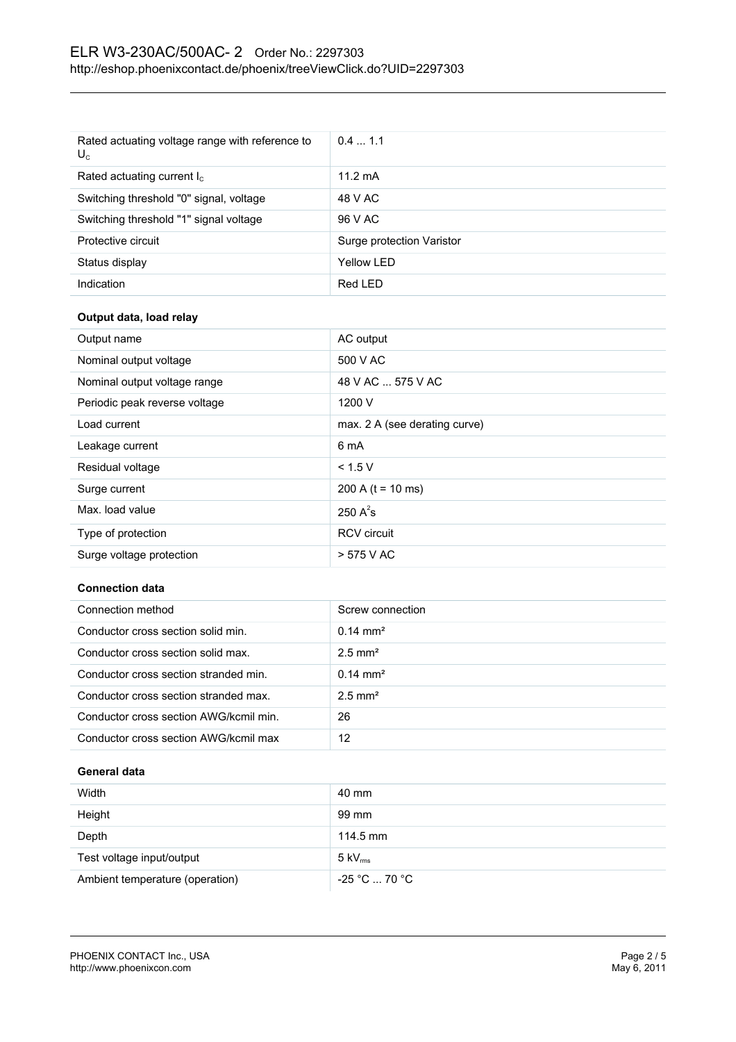| Rated actuating voltage range with reference to<br>$U_c$ | 0.41.1                    |
|----------------------------------------------------------|---------------------------|
| Rated actuating current $I_c$                            | $11.2 \text{ mA}$         |
| Switching threshold "0" signal, voltage                  | 48 V AC                   |
| Switching threshold "1" signal voltage                   | 96 V AC                   |
| Protective circuit                                       | Surge protection Varistor |
| Status display                                           | Yellow LED                |
| Indication                                               | Red LED                   |

# **Output data, load relay**

| Output name                   | AC output                     |
|-------------------------------|-------------------------------|
| Nominal output voltage        | 500 V AC                      |
| Nominal output voltage range  | 48 V AC  575 V AC             |
| Periodic peak reverse voltage | 1200 V                        |
| Load current                  | max. 2 A (see derating curve) |
| Leakage current               | 6 mA                          |
| Residual voltage              | < 1.5 V                       |
| Surge current                 | 200 A ( $t = 10$ ms)          |
| Max. load value               | 250 $A^2$ s                   |
| Type of protection            | <b>RCV</b> circuit            |
| Surge voltage protection      | > 575 V AC                    |

#### **Connection data**

| Connection method                      | Screw connection      |
|----------------------------------------|-----------------------|
| Conductor cross section solid min.     | $0.14 \text{ mm}^2$   |
| Conductor cross section solid max.     | $2.5$ mm <sup>2</sup> |
| Conductor cross section stranded min.  | $0.14 \text{ mm}^2$   |
| Conductor cross section stranded max.  | $2.5$ mm <sup>2</sup> |
| Conductor cross section AWG/kcmil min. | 26                    |
| Conductor cross section AWG/kcmil max  | 12                    |

# **General data**

| Width                           | 40 mm                        |
|---------------------------------|------------------------------|
| Height                          | 99 mm                        |
| Depth                           | $114.5 \text{ mm}$           |
| Test voltage input/output       | $5 \text{ kV}_{\text{rms}}$  |
| Ambient temperature (operation) | $-25$ °C $\ldots$ 70 °C $\,$ |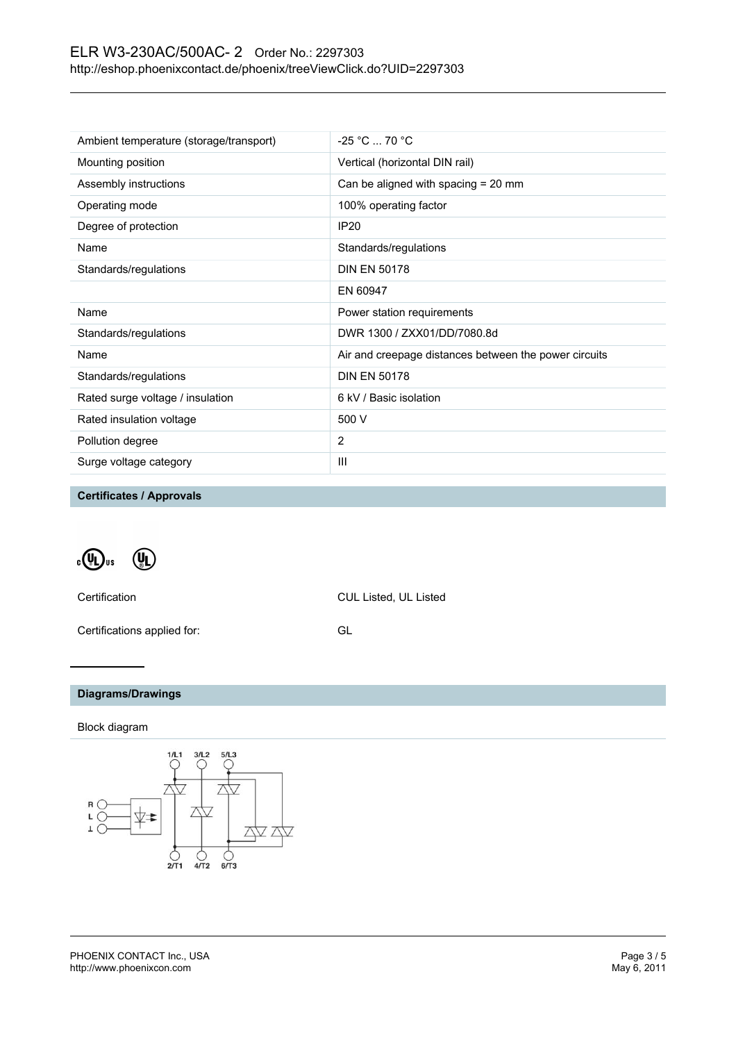# ELR W3-230AC/500AC- 2 Order No.: 2297303 <http://eshop.phoenixcontact.de/phoenix/treeViewClick.do?UID=2297303>

| Ambient temperature (storage/transport) | $-25 °C  70 °C$                                       |
|-----------------------------------------|-------------------------------------------------------|
| Mounting position                       | Vertical (horizontal DIN rail)                        |
| Assembly instructions                   | Can be aligned with spacing = 20 mm                   |
| Operating mode                          | 100% operating factor                                 |
| Degree of protection                    | <b>IP20</b>                                           |
| Name                                    | Standards/regulations                                 |
| Standards/regulations                   | <b>DIN EN 50178</b>                                   |
|                                         | EN 60947                                              |
| Name                                    | Power station requirements                            |
| Standards/regulations                   | DWR 1300 / ZXX01/DD/7080.8d                           |
| Name                                    | Air and creepage distances between the power circuits |
| Standards/regulations                   | <b>DIN EN 50178</b>                                   |
| Rated surge voltage / insulation        | 6 kV / Basic isolation                                |
| Rated insulation voltage                | 500 V                                                 |
| Pollution degree                        | 2                                                     |
| Surge voltage category                  | III                                                   |
|                                         |                                                       |

**Certificates / Approvals**

 $\sqrt[\alpha]{\mathbf{u}}$ us  $\mathbb{Q}_D$ 

Certification CUL Listed, UL Listed

Certifications applied for: GL

# **Diagrams/Drawings**

## Block diagram

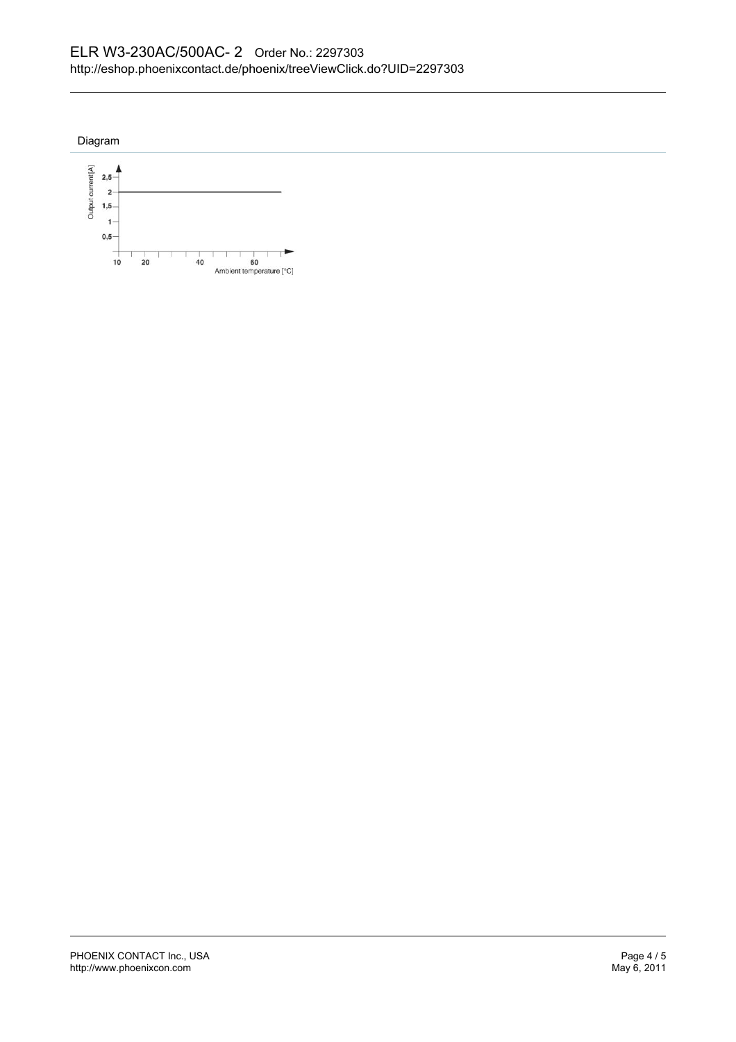